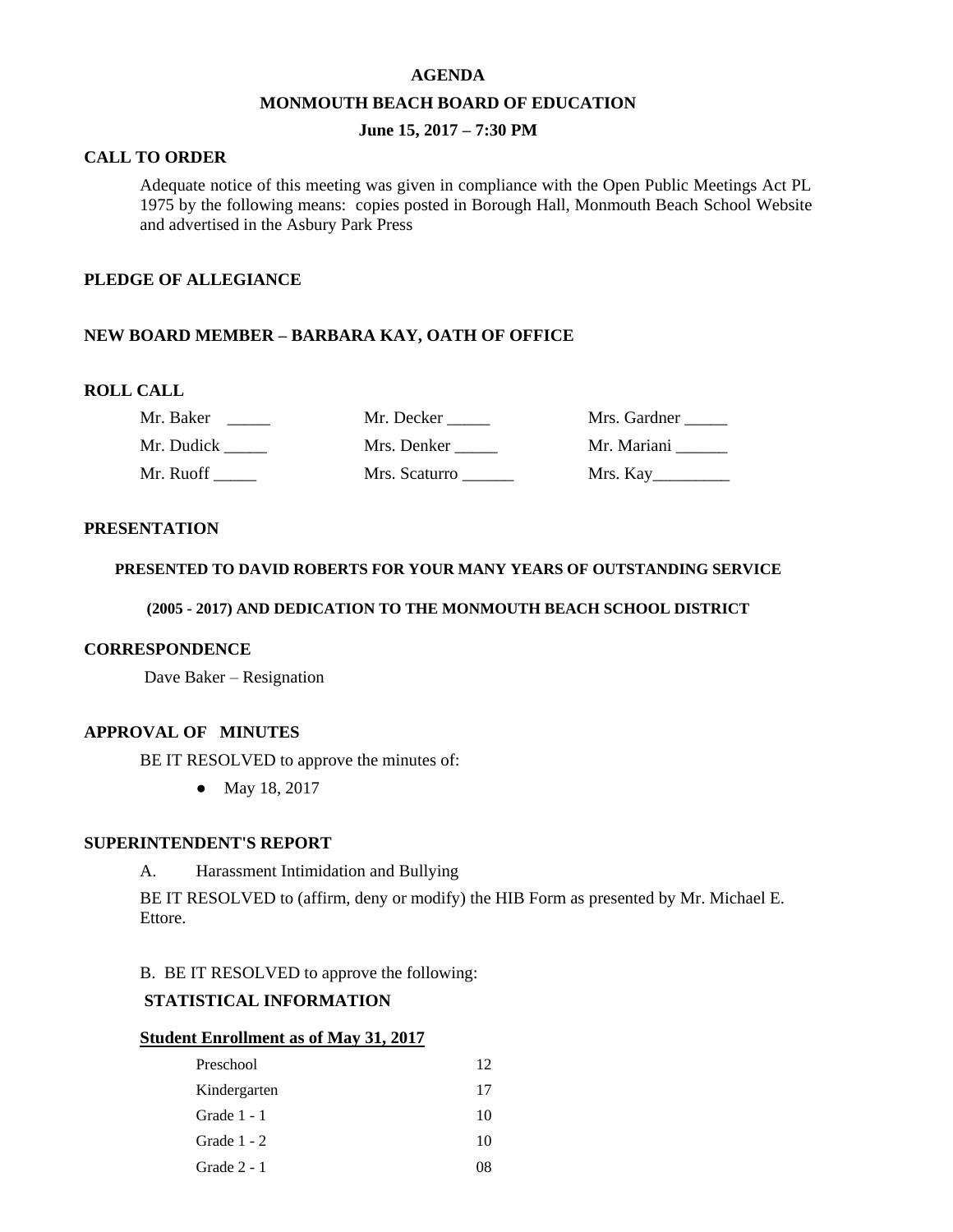#### **AGENDA**

#### **MONMOUTH BEACH BOARD OF EDUCATION**

## **June 15, 2017 – 7:30 PM**

### **CALL TO ORDER**

Adequate notice of this meeting was given in compliance with the Open Public Meetings Act PL 1975 by the following means: copies posted in Borough Hall, Monmouth Beach School Website and advertised in the Asbury Park Press

#### **PLEDGE OF ALLEGIANCE**

## **NEW BOARD MEMBER – BARBARA KAY, OATH OF OFFICE**

#### **ROLL CALL**

| Mr. Baker  | Mr. Decker    | Mrs. Gardner |
|------------|---------------|--------------|
| Mr. Dudick | Mrs. Denker   | Mr. Mariani  |
| Mr. Ruoff  | Mrs. Scaturro | Mrs. Kay     |

#### **PRESENTATION**

## **PRESENTED TO DAVID ROBERTS FOR YOUR MANY YEARS OF OUTSTANDING SERVICE**

### **(2005 - 2017) AND DEDICATION TO THE MONMOUTH BEACH SCHOOL DISTRICT**

#### **CORRESPONDENCE**

Dave Baker – Resignation

### **APPROVAL OF MINUTES**

BE IT RESOLVED to approve the minutes of:

● May 18, 2017

### **SUPERINTENDENT'S REPORT**

A. Harassment Intimidation and Bullying

BE IT RESOLVED to (affirm, deny or modify) the HIB Form as presented by Mr. Michael E. Ettore.

B. BE IT RESOLVED to approve the following:

# **STATISTICAL INFORMATION**

### **Student Enrollment as of May 31, 2017**

| Preschool     | 12 |
|---------------|----|
| Kindergarten  | 17 |
| Grade $1 - 1$ | 10 |
| Grade $1 - 2$ | 10 |
| Grade $2 - 1$ |    |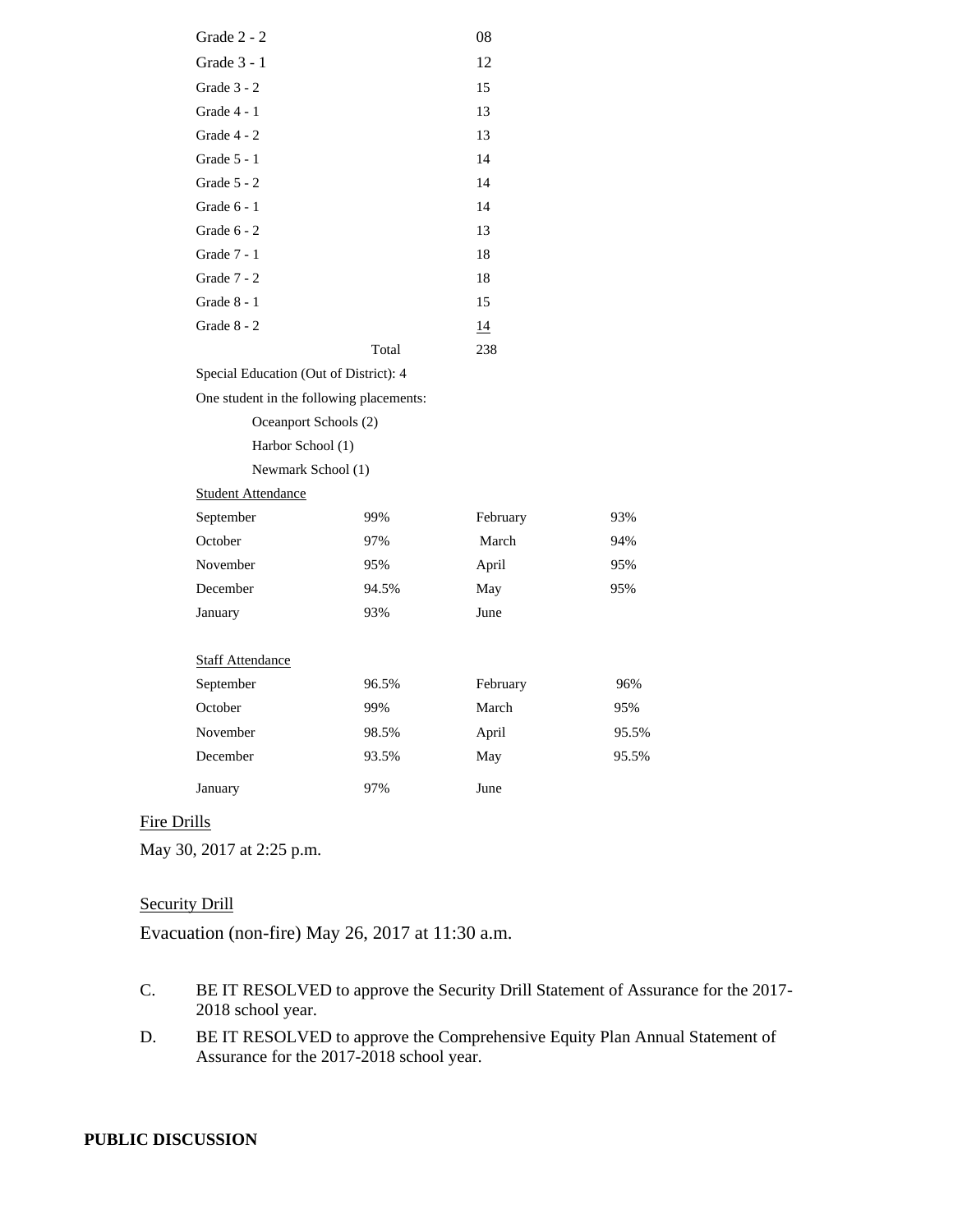| Grade 3 - 1                              |       | 12       |       |
|------------------------------------------|-------|----------|-------|
| Grade 3 - 2                              |       | 15       |       |
| Grade 4 - 1                              |       | 13       |       |
| Grade 4 - 2                              |       | 13       |       |
| Grade 5 - 1                              |       | 14       |       |
| Grade 5 - 2                              |       | 14       |       |
| Grade 6 - 1                              |       | 14       |       |
| Grade $6 - 2$                            |       | 13       |       |
| Grade 7 - 1                              |       | 18       |       |
| Grade 7 - 2                              |       | 18       |       |
| Grade 8 - 1                              |       | 15       |       |
| Grade 8 - 2                              |       | 14       |       |
|                                          | Total | 238      |       |
| Special Education (Out of District): 4   |       |          |       |
| One student in the following placements: |       |          |       |
| Oceanport Schools (2)                    |       |          |       |
| Harbor School (1)                        |       |          |       |
| Newmark School (1)                       |       |          |       |
| <b>Student Attendance</b>                |       |          |       |
| September                                | 99%   | February | 93%   |
| October                                  | 97%   | March    | 94%   |
| November                                 | 95%   | April    | 95%   |
| December                                 | 94.5% | May      | 95%   |
| January                                  | 93%   | June     |       |
|                                          |       |          |       |
| <b>Staff Attendance</b>                  |       |          |       |
| September                                | 96.5% | February | 96%   |
| October                                  | 99%   | March    | 95%   |
| November                                 | 98.5% | April    | 95.5% |
| December                                 | 93.5% | May      | 95.5% |
| January                                  | 97%   | June     |       |
|                                          |       |          |       |

Grade 2 - 2 08

# Fire Drills

May 30, 2017 at 2:25 p.m.

## **Security Drill**

Evacuation (non-fire) May 26, 2017 at 11:30 a.m.

- C. BE IT RESOLVED to approve the Security Drill Statement of Assurance for the 2017- 2018 school year.
- D. BE IT RESOLVED to approve the Comprehensive Equity Plan Annual Statement of Assurance for the 2017-2018 school year.

### **PUBLIC DISCUSSION**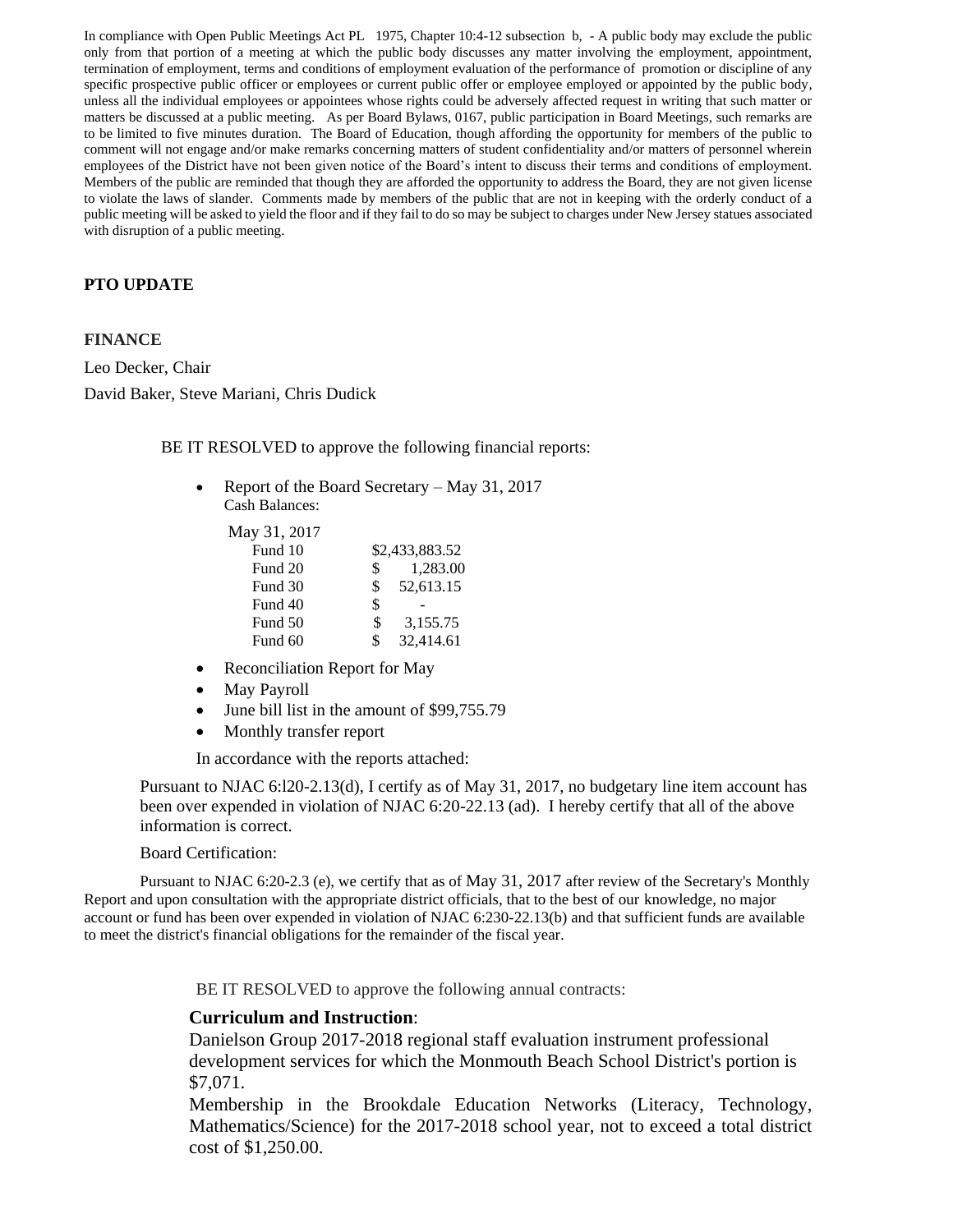In compliance with Open Public Meetings Act PL 1975, Chapter 10:4-12 subsection b, - A public body may exclude the public only from that portion of a meeting at which the public body discusses any matter involving the employment, appointment, termination of employment, terms and conditions of employment evaluation of the performance of promotion or discipline of any specific prospective public officer or employees or current public offer or employee employed or appointed by the public body, unless all the individual employees or appointees whose rights could be adversely affected request in writing that such matter or matters be discussed at a public meeting. As per Board Bylaws, 0167, public participation in Board Meetings, such remarks are to be limited to five minutes duration. The Board of Education, though affording the opportunity for members of the public to comment will not engage and/or make remarks concerning matters of student confidentiality and/or matters of personnel wherein employees of the District have not been given notice of the Board's intent to discuss their terms and conditions of employment. Members of the public are reminded that though they are afforded the opportunity to address the Board, they are not given license to violate the laws of slander. Comments made by members of the public that are not in keeping with the orderly conduct of a public meeting will be asked to yield the floor and if they fail to do so may be subject to charges under New Jersey statues associated with disruption of a public meeting.

## **PTO UPDATE**

#### **FINANCE**

Leo Decker, Chair David Baker, Steve Mariani, Chris Dudick

BE IT RESOLVED to approve the following financial reports:

• Report of the Board Secretary – May 31, 2017 Cash Balances:

| May 31, 2017 |                 |
|--------------|-----------------|
| Fund 10      | \$2,433,883.52  |
| Fund 20      | \$<br>1,283.00  |
| Fund 30      | \$<br>52,613.15 |
| Fund 40      | \$              |
| Fund 50      | \$<br>3,155.75  |
| Fund 60      | \$<br>32,414.61 |

- Reconciliation Report for May
- May Payroll
- June bill list in the amount of \$99,755.79
- Monthly transfer report

In accordance with the reports attached:

Pursuant to NJAC 6:l20-2.13(d), I certify as of May 31, 2017, no budgetary line item account has been over expended in violation of NJAC 6:20-22.13 (ad). I hereby certify that all of the above information is correct.

Board Certification:

Pursuant to NJAC 6:20-2.3 (e), we certify that as of May 31, 2017 after review of the Secretary's Monthly Report and upon consultation with the appropriate district officials, that to the best of our knowledge, no major account or fund has been over expended in violation of NJAC 6:230-22.13(b) and that sufficient funds are available to meet the district's financial obligations for the remainder of the fiscal year.

BE IT RESOLVED to approve the following annual contracts:

## **Curriculum and Instruction**:

Danielson Group 2017-2018 regional staff evaluation instrument professional development services for which the Monmouth Beach School District's portion is \$7,071.

Membership in the Brookdale Education Networks (Literacy, Technology, Mathematics/Science) for the 2017-2018 school year, not to exceed a total district cost of \$1,250.00.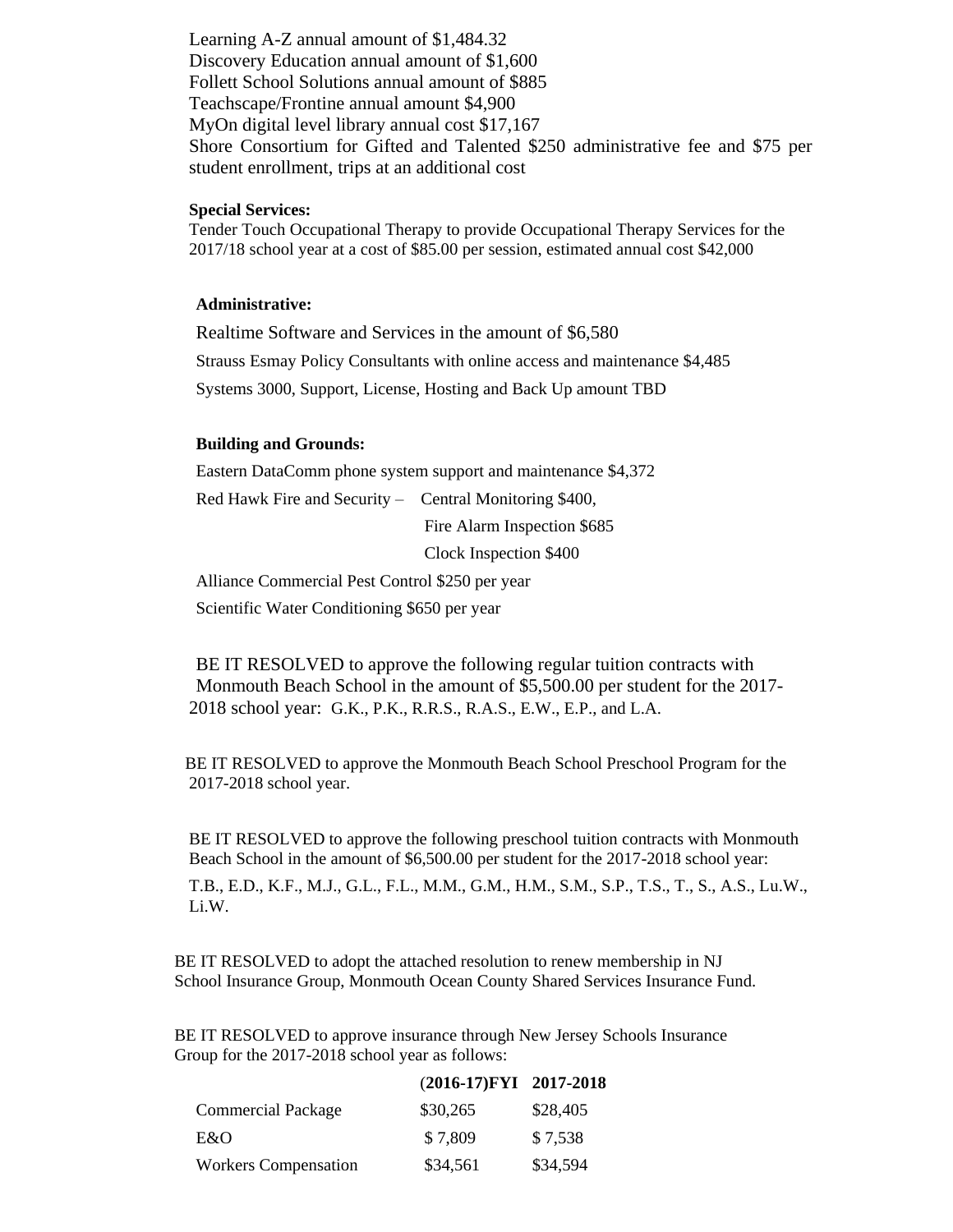Learning A-Z annual amount of \$1,484.32 Discovery Education annual amount of \$1,600 Follett School Solutions annual amount of \$885 Teachscape/Frontine annual amount \$4,900 MyOn digital level library annual cost \$17,167 Shore Consortium for Gifted and Talented \$250 administrative fee and \$75 per student enrollment, trips at an additional cost

#### **Special Services:**

Tender Touch Occupational Therapy to provide Occupational Therapy Services for the 2017/18 school year at a cost of \$85.00 per session, estimated annual cost \$42,000

#### **Administrative:**

Realtime Software and Services in the amount of \$6,580 Strauss Esmay Policy Consultants with online access and maintenance \$4,485 Systems 3000, Support, License, Hosting and Back Up amount TBD

#### **Building and Grounds:**

Eastern DataComm phone system support and maintenance \$4,372 Red Hawk Fire and Security – Central Monitoring \$400, Fire Alarm Inspection \$685 Clock Inspection \$400 Alliance Commercial Pest Control \$250 per year

Scientific Water Conditioning \$650 per year

BE IT RESOLVED to approve the following regular tuition contracts with Monmouth Beach School in the amount of \$5,500.00 per student for the 2017- 2018 school year: G.K., P.K., R.R.S., R.A.S., E.W., E.P., and L.A.

 BE IT RESOLVED to approve the Monmouth Beach School Preschool Program for the 2017-2018 school year.

BE IT RESOLVED to approve the following preschool tuition contracts with Monmouth Beach School in the amount of \$6,500.00 per student for the 2017-2018 school year:

T.B., E.D., K.F., M.J., G.L., F.L., M.M., G.M., H.M., S.M., S.P., T.S., T., S., A.S., Lu.W., Li.W.

 BE IT RESOLVED to adopt the attached resolution to renew membership in NJ School Insurance Group, Monmouth Ocean County Shared Services Insurance Fund.

 BE IT RESOLVED to approve insurance through New Jersey Schools Insurance Group for the 2017-2018 school year as follows:

|                             | (2016-17) FYI 2017-2018 |          |
|-----------------------------|-------------------------|----------|
| <b>Commercial Package</b>   | \$30,265                | \$28,405 |
| E&O                         | \$7,809                 | \$7,538  |
| <b>Workers Compensation</b> | \$34,561                | \$34,594 |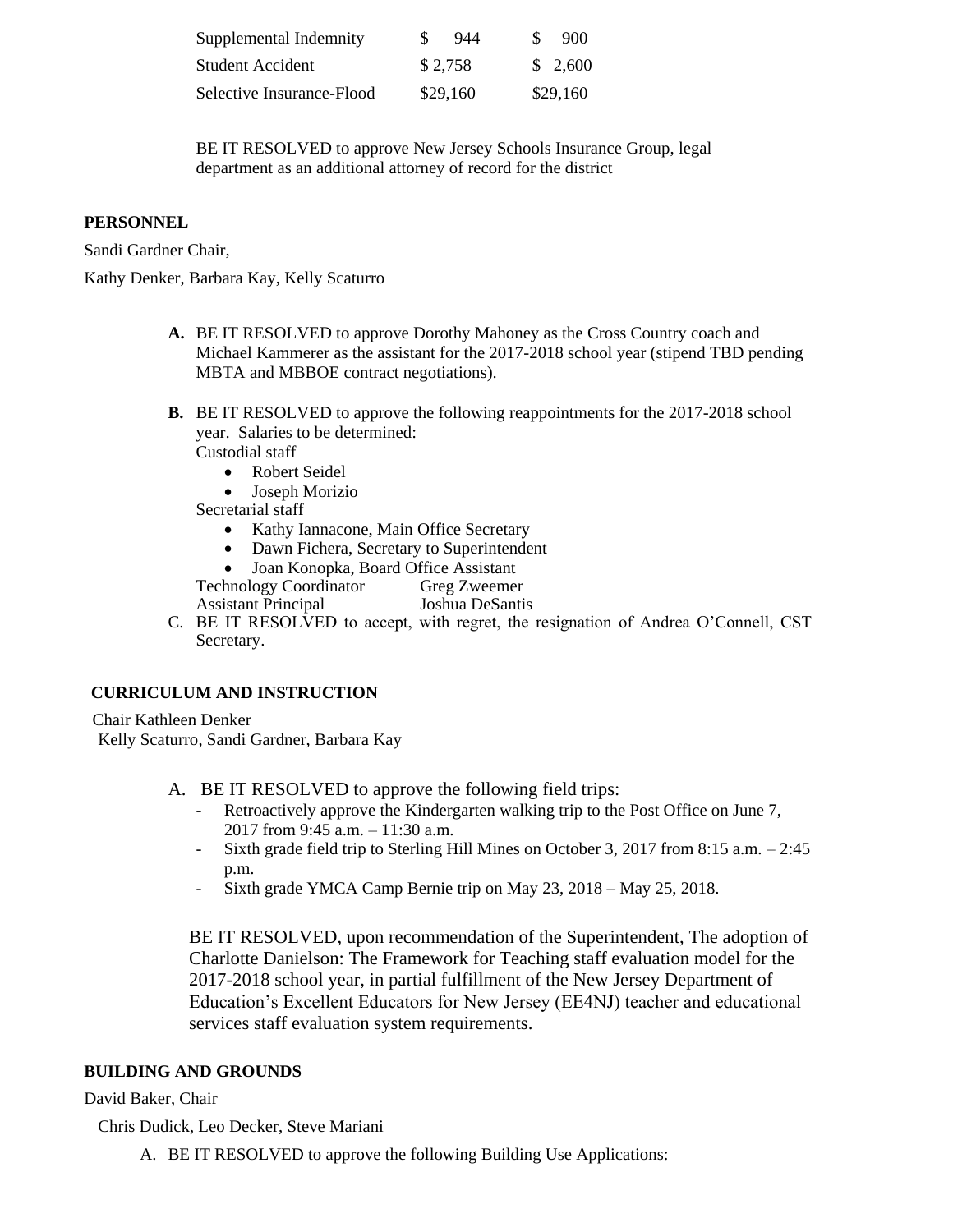| Supplemental Indemnity    | \$.<br>944 | 900<br>S |
|---------------------------|------------|----------|
| Student Accident          | \$2,758    | \$2,600  |
| Selective Insurance-Flood | \$29,160   | \$29,160 |

BE IT RESOLVED to approve New Jersey Schools Insurance Group, legal department as an additional attorney of record for the district

# **PERSONNEL**

Sandi Gardner Chair,

Kathy Denker, Barbara Kay, Kelly Scaturro

- **A.** BE IT RESOLVED to approve Dorothy Mahoney as the Cross Country coach and Michael Kammerer as the assistant for the 2017-2018 school year (stipend TBD pending MBTA and MBBOE contract negotiations).
- **B.** BE IT RESOLVED to approve the following reappointments for the 2017-2018 school year. Salaries to be determined:

Custodial staff

- Robert Seidel
- Joseph Morizio

Secretarial staff

- Kathy Iannacone, Main Office Secretary
- Dawn Fichera, Secretary to Superintendent
- Joan Konopka, Board Office Assistant

Technology Coordinator Greg Zweemer Assistant Principal Joshua DeSantis

C. BE IT RESOLVED to accept, with regret, the resignation of Andrea O'Connell, CST Secretary.

# **CURRICULUM AND INSTRUCTION**

Chair Kathleen Denker Kelly Scaturro, Sandi Gardner, Barbara Kay

- A. BE IT RESOLVED to approve the following field trips:
	- Retroactively approve the Kindergarten walking trip to the Post Office on June 7, 2017 from 9:45 a.m. – 11:30 a.m.
	- Sixth grade field trip to Sterling Hill Mines on October 3, 2017 from 8:15 a.m. 2:45 p.m.
	- Sixth grade YMCA Camp Bernie trip on May 23, 2018 May 25, 2018.

BE IT RESOLVED, upon recommendation of the Superintendent, The adoption of Charlotte Danielson: The Framework for Teaching staff evaluation model for the 2017-2018 school year, in partial fulfillment of the New Jersey Department of Education's Excellent Educators for New Jersey (EE4NJ) teacher and educational services staff evaluation system requirements.

# **BUILDING AND GROUNDS**

# David Baker, Chair

Chris Dudick, Leo Decker, Steve Mariani

A. BE IT RESOLVED to approve the following Building Use Applications: